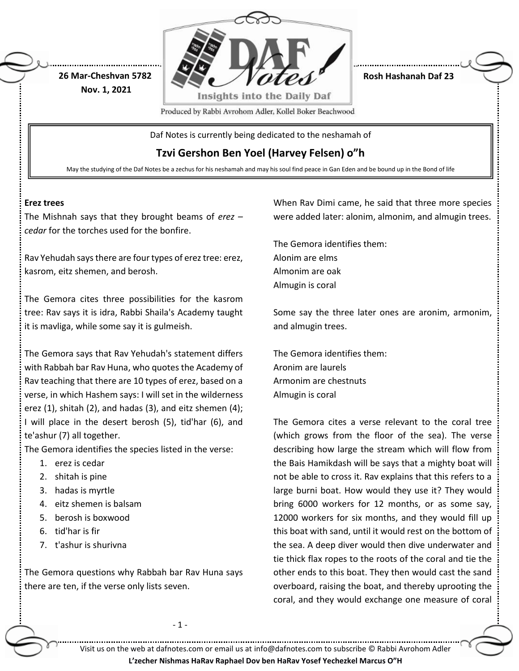

**Rosh Hashanah Daf 23**

Produced by Rabbi Avrohom Adler, Kollel Boker Beachwood

Daf Notes is currently being dedicated to the neshamah of

**Tzvi Gershon Ben Yoel (Harvey Felsen) o"h**

May the studying of the Daf Notes be a zechus for his neshamah and may his soul find peace in Gan Eden and be bound up in the Bond of life

#### **Erez trees**

The Mishnah says that they brought beams of *erez – cedar* for the torches used for the bonfire.

**26 Mar-Cheshvan 5782 Nov. 1, 2021**

Rav Yehudah says there are four types of erez tree: erez, kasrom, eitz shemen, and berosh.

The Gemora cites three possibilities for the kasrom tree: Rav says it is idra, Rabbi Shaila's Academy taught it is mavliga, while some say it is gulmeish.

The Gemora says that Rav Yehudah's statement differs with Rabbah bar Rav Huna, who quotes the Academy of Rav teaching that there are 10 types of erez, based on a verse, in which Hashem says: I will set in the wilderness erez (1), shitah (2), and hadas (3), and eitz shemen (4); I will place in the desert berosh (5), tid'har (6), and te'ashur (7) all together.

The Gemora identifies the species listed in the verse:

- 1. erez is cedar
- 2. shitah is pine
- 3. hadas is myrtle
- 4. eitz shemen is balsam
- 5. berosh is boxwood
- 6. tid'har is fir
- 7. t'ashur is shurivna

The Gemora questions why Rabbah bar Rav Huna says there are ten, if the verse only lists seven.

- 1 -

When Rav Dimi came, he said that three more species were added later: alonim, almonim, and almugin trees.

The Gemora identifies them: Alonim are elms Almonim are oak Almugin is coral

Some say the three later ones are aronim, armonim, and almugin trees.

The Gemora identifies them: Aronim are laurels Armonim are chestnuts Almugin is coral

The Gemora cites a verse relevant to the coral tree (which grows from the floor of the sea). The verse describing how large the stream which will flow from the Bais Hamikdash will be says that a mighty boat will not be able to cross it. Rav explains that this refers to a large burni boat. How would they use it? They would bring 6000 workers for 12 months, or as some say, 12000 workers for six months, and they would fill up this boat with sand, until it would rest on the bottom of the sea. A deep diver would then dive underwater and tie thick flax ropes to the roots of the coral and tie the other ends to this boat. They then would cast the sand overboard, raising the boat, and thereby uprooting the coral, and they would exchange one measure of coral

Visit us on the web at dafnotes.com or email us at [info@dafnotes.com](mailto:info@dafnotes.com) to subscribe © Rabbi Avrohom Adler

#### **L'zecher Nishmas HaRav Raphael Dov ben HaRav Yosef Yechezkel Marcus O"H**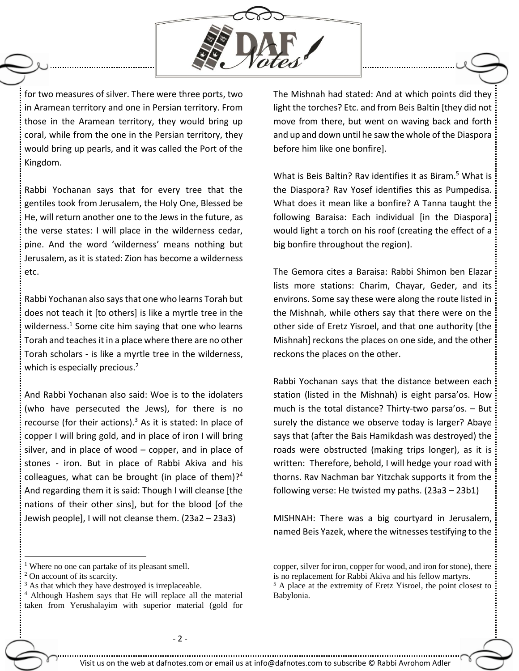

for two measures of silver. There were three ports, two in Aramean territory and one in Persian territory. From those in the Aramean territory, they would bring up coral, while from the one in the Persian territory, they would bring up pearls, and it was called the Port of the Kingdom.

Rabbi Yochanan says that for every tree that the gentiles took from Jerusalem, the Holy One, Blessed be He, will return another one to the Jews in the future, as the verse states: I will place in the wilderness cedar, pine. And the word 'wilderness' means nothing but Jerusalem, as it is stated: Zion has become a wilderness etc.

Rabbi Yochanan also says that one who learns Torah but does not teach it [to others] is like a myrtle tree in the wilderness.<sup>1</sup> Some cite him saying that one who learns Torah and teaches it in a place where there are no other Torah scholars - is like a myrtle tree in the wilderness, which is especially precious.<sup>2</sup>

And Rabbi Yochanan also said: Woe is to the idolaters (who have persecuted the Jews), for there is no recourse (for their actions). $3$  As it is stated: In place of copper I will bring gold, and in place of iron I will bring silver, and in place of wood  $-$  copper, and in place of stones - iron. But in place of Rabbi Akiva and his colleagues, what can be brought (in place of them)?<sup>4</sup> And regarding them it is said: Though I will cleanse [the nations of their other sins], but for the blood [of the Jewish people], I will not cleanse them. (23a2 – 23a3)

<sup>1</sup> Where no one can partake of its pleasant smell.

 $\overline{a}$ 

The Mishnah had stated: And at which points did they light the torches? Etc. and from Beis Baltin [they did not move from there, but went on waving back and forth and up and down until he saw the whole of the Diaspora before him like one bonfire].

What is Beis Baltin? Rav identifies it as Biram.<sup>5</sup> What is the Diaspora? Rav Yosef identifies this as Pumpedisa. What does it mean like a bonfire? A Tanna taught the following Baraisa: Each individual [in the Diaspora] would light a torch on his roof (creating the effect of a big bonfire throughout the region).

The Gemora cites a Baraisa: Rabbi Shimon ben Elazar lists more stations: Charim, Chayar, Geder, and its environs. Some say these were along the route listed in the Mishnah, while others say that there were on the other side of Eretz Yisroel, and that one authority [the Mishnah] reckons the places on one side, and the other reckons the places on the other.

Rabbi Yochanan says that the distance between each station (listed in the Mishnah) is eight parsa'os. How much is the total distance? Thirty-two parsa'os. – But surely the distance we observe today is larger? Abaye says that (after the Bais Hamikdash was destroyed) the roads were obstructed (making trips longer), as it is written: Therefore, behold, I will hedge your road with thorns. Rav Nachman bar Yitzchak supports it from the following verse: He twisted my paths. (23a3 – 23b1)

MISHNAH: There was a big courtyard in Jerusalem, named Beis Yazek, where the witnesses testifying to the

<sup>2</sup> On account of its scarcity.

<sup>&</sup>lt;sup>3</sup> As that which they have destroyed is irreplaceable.

<sup>4</sup> Although Hashem says that He will replace all the material taken from Yerushalayim with superior material (gold for

copper, silver for iron, copper for wood, and iron for stone), there is no replacement for Rabbi Akiva and his fellow martyrs. <sup>5</sup> A place at the extremity of Eretz Yisroel, the point closest to Babylonia.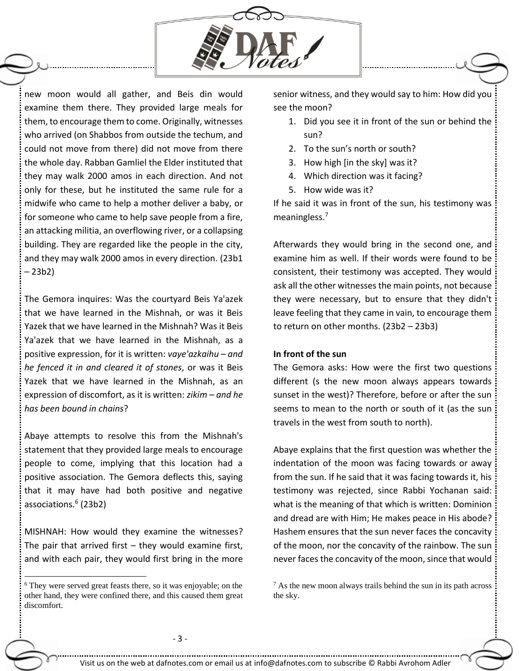

new moon would all gather, and Beis din would examine them there. They provided large meals for them, to encourage them to come. Originally, witnesses who arrived (on Shabbos from outside the techum, and could not move from there) did not move from there the whole day. Rabban Gamliel the Elder instituted that they may walk 2000 amos in each direction. And not only for these, but he instituted the same rule for a midwife who came to help a mother deliver a baby, or for someone who came to help save people from a fire, an attacking militia, an overflowing river, or a collapsing building. They are regarded like the people in the city, and they may walk 2000 amos in every direction. (23b1 – 23b2)

The Gemora inquires: Was the courtyard Beis Ya'azek that we have learned in the Mishnah, or was it Beis Yazek that we have learned in the Mishnah? Was it Beis Ya'azek that we have learned in the Mishnah, as a positive expression, for it is written: *vaye'azkaihu – and he fenced it in and cleared it of stones*, or was it Beis Yazek that we have learned in the Mishnah, as an expression of discomfort, as it is written: *zikim – and he has been bound in chains*?

Abaye attempts to resolve this from the Mishnah's statement that they provided large meals to encourage people to come, implying that this location had a positive association. The Gemora deflects this, saying that it may have had both positive and negative associations.<sup>6</sup> (23b2)

MISHNAH: How would they examine the witnesses? The pair that arrived first  $-$  they would examine first, and with each pair, they would first bring in the more

 $\overline{a}$ 

senior witness, and they would say to him: How did you see the moon?

- 1. Did you see it in front of the sun or behind the sun?
- 2. To the sun's north or south?
- 3. How high [in the sky] was it?
- 4. Which direction was it facing?
- 5. How wide was it?

If he said it was in front of the sun, his testimony was meaningless.<sup>7</sup>

Afterwards they would bring in the second one, and examine him as well. If their words were found to be consistent, their testimony was accepted. They would ask all the other witnesses the main points, not because they were necessary, but to ensure that they didn't leave feeling that they came in vain, to encourage them to return on other months. (23b2 – 23b3)

## **In front of the sun**

The Gemora asks: How were the first two questions different (s the new moon always appears towards sunset in the west)? Therefore, before or after the sun seems to mean to the north or south of it (as the sun travels in the west from south to north).

Abaye explains that the first question was whether the indentation of the moon was facing towards or away from the sun. If he said that it was facing towards it, his testimony was rejected, since Rabbi Yochanan said: what is the meaning of that which is written: Dominion and dread are with Him; He makes peace in His abode? Hashem ensures that the sun never faces the concavity of the moon, nor the concavity of the rainbow. The sun never faces the concavity of the moon, since that would

<sup>6</sup> They were served great feasts there, so it was enjoyable; on the other hand, they were confined there, and this caused them great discomfort.

 $<sup>7</sup>$  As the new moon always trails behind the sun in its path across</sup> the sky.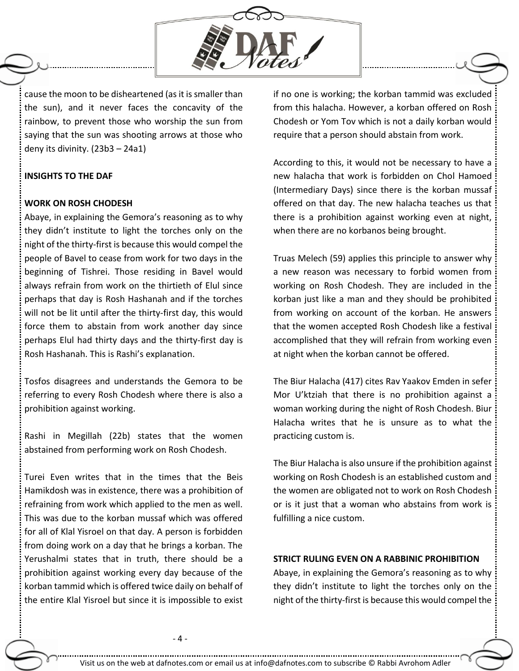

cause the moon to be disheartened (as it is smaller than the sun), and it never faces the concavity of the rainbow, to prevent those who worship the sun from saying that the sun was shooting arrows at those who deny its divinity. (23b3 – 24a1)

#### **INSIGHTS TO THE DAF**

### **WORK ON ROSH CHODESH**

Abaye, in explaining the Gemora's reasoning as to why they didn't institute to light the torches only on the night of the thirty-first is because this would compel the people of Bavel to cease from work for two days in the beginning of Tishrei. Those residing in Bavel would always refrain from work on the thirtieth of Elul since perhaps that day is Rosh Hashanah and if the torches will not be lit until after the thirty-first day, this would force them to abstain from work another day since perhaps Elul had thirty days and the thirty-first day is Rosh Hashanah. This is Rashi's explanation.

Tosfos disagrees and understands the Gemora to be referring to every Rosh Chodesh where there is also a prohibition against working.

Rashi in Megillah (22b) states that the women abstained from performing work on Rosh Chodesh.

Turei Even writes that in the times that the Beis Hamikdosh was in existence, there was a prohibition of refraining from work which applied to the men as well. This was due to the korban mussaf which was offered for all of Klal Yisroel on that day. A person is forbidden from doing work on a day that he brings a korban. The Yerushalmi states that in truth, there should be a prohibition against working every day because of the korban tammid which is offered twice daily on behalf of the entire Klal Yisroel but since it is impossible to exist

if no one is working; the korban tammid was excluded from this halacha. However, a korban offered on Rosh Chodesh or Yom Tov which is not a daily korban would require that a person should abstain from work.

According to this, it would not be necessary to have a new halacha that work is forbidden on Chol Hamoed (Intermediary Days) since there is the korban mussaf offered on that day. The new halacha teaches us that there is a prohibition against working even at night, when there are no korbanos being brought.

Truas Melech (59) applies this principle to answer why a new reason was necessary to forbid women from working on Rosh Chodesh. They are included in the korban just like a man and they should be prohibited from working on account of the korban. He answers that the women accepted Rosh Chodesh like a festival accomplished that they will refrain from working even at night when the korban cannot be offered.

The Biur Halacha (417) cites Rav Yaakov Emden in sefer Mor U'ktziah that there is no prohibition against a woman working during the night of Rosh Chodesh. Biur Halacha writes that he is unsure as to what the practicing custom is.

The Biur Halacha is also unsure if the prohibition against working on Rosh Chodesh is an established custom and the women are obligated not to work on Rosh Chodesh or is it just that a woman who abstains from work is fulfilling a nice custom.

## **STRICT RULING EVEN ON A RABBINIC PROHIBITION**

Abaye, in explaining the Gemora's reasoning as to why they didn't institute to light the torches only on the night of the thirty-first is because this would compel the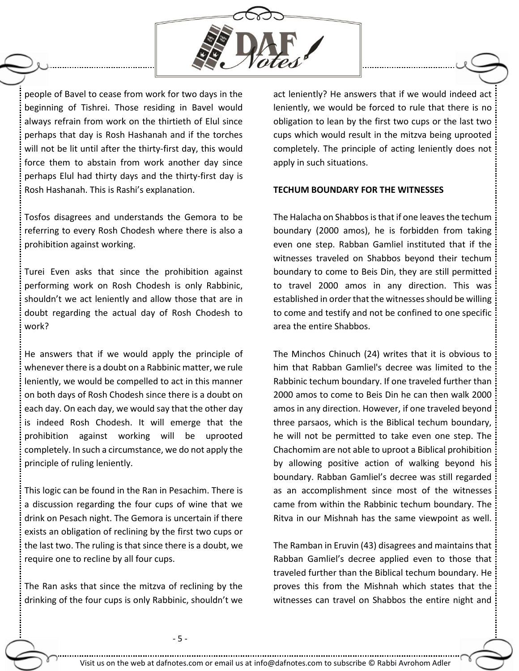

people of Bavel to cease from work for two days in the beginning of Tishrei. Those residing in Bavel would always refrain from work on the thirtieth of Elul since perhaps that day is Rosh Hashanah and if the torches will not be lit until after the thirty-first day, this would force them to abstain from work another day since perhaps Elul had thirty days and the thirty-first day is Rosh Hashanah. This is Rashi's explanation.

Tosfos disagrees and understands the Gemora to be referring to every Rosh Chodesh where there is also a prohibition against working.

Turei Even asks that since the prohibition against performing work on Rosh Chodesh is only Rabbinic, shouldn't we act leniently and allow those that are in doubt regarding the actual day of Rosh Chodesh to work?

He answers that if we would apply the principle of whenever there is a doubt on a Rabbinic matter, we rule leniently, we would be compelled to act in this manner on both days of Rosh Chodesh since there is a doubt on each day. On each day, we would say that the other day is indeed Rosh Chodesh. It will emerge that the prohibition against working will be uprooted completely. In such a circumstance, we do not apply the principle of ruling leniently.

This logic can be found in the Ran in Pesachim. There is a discussion regarding the four cups of wine that we drink on Pesach night. The Gemora is uncertain if there exists an obligation of reclining by the first two cups or the last two. The ruling is that since there is a doubt, we require one to recline by all four cups.

The Ran asks that since the mitzva of reclining by the drinking of the four cups is only Rabbinic, shouldn't we act leniently? He answers that if we would indeed act leniently, we would be forced to rule that there is no obligation to lean by the first two cups or the last two cups which would result in the mitzva being uprooted completely. The principle of acting leniently does not apply in such situations.

#### **TECHUM BOUNDARY FOR THE WITNESSES**

The Halacha on Shabbos is that if one leaves the techum boundary (2000 amos), he is forbidden from taking even one step. Rabban Gamliel instituted that if the witnesses traveled on Shabbos beyond their techum boundary to come to Beis Din, they are still permitted to travel 2000 amos in any direction. This was established in order that the witnesses should be willing to come and testify and not be confined to one specific area the entire Shabbos.

The Minchos Chinuch (24) writes that it is obvious to him that Rabban Gamliel's decree was limited to the Rabbinic techum boundary. If one traveled further than 2000 amos to come to Beis Din he can then walk 2000 amos in any direction. However, if one traveled beyond three parsaos, which is the Biblical techum boundary, he will not be permitted to take even one step. The Chachomim are not able to uproot a Biblical prohibition by allowing positive action of walking beyond his boundary. Rabban Gamliel's decree was still regarded as an accomplishment since most of the witnesses came from within the Rabbinic techum boundary. The Ritva in our Mishnah has the same viewpoint as well.

The Ramban in Eruvin (43) disagrees and maintains that Rabban Gamliel's decree applied even to those that traveled further than the Biblical techum boundary. He proves this from the Mishnah which states that the witnesses can travel on Shabbos the entire night and